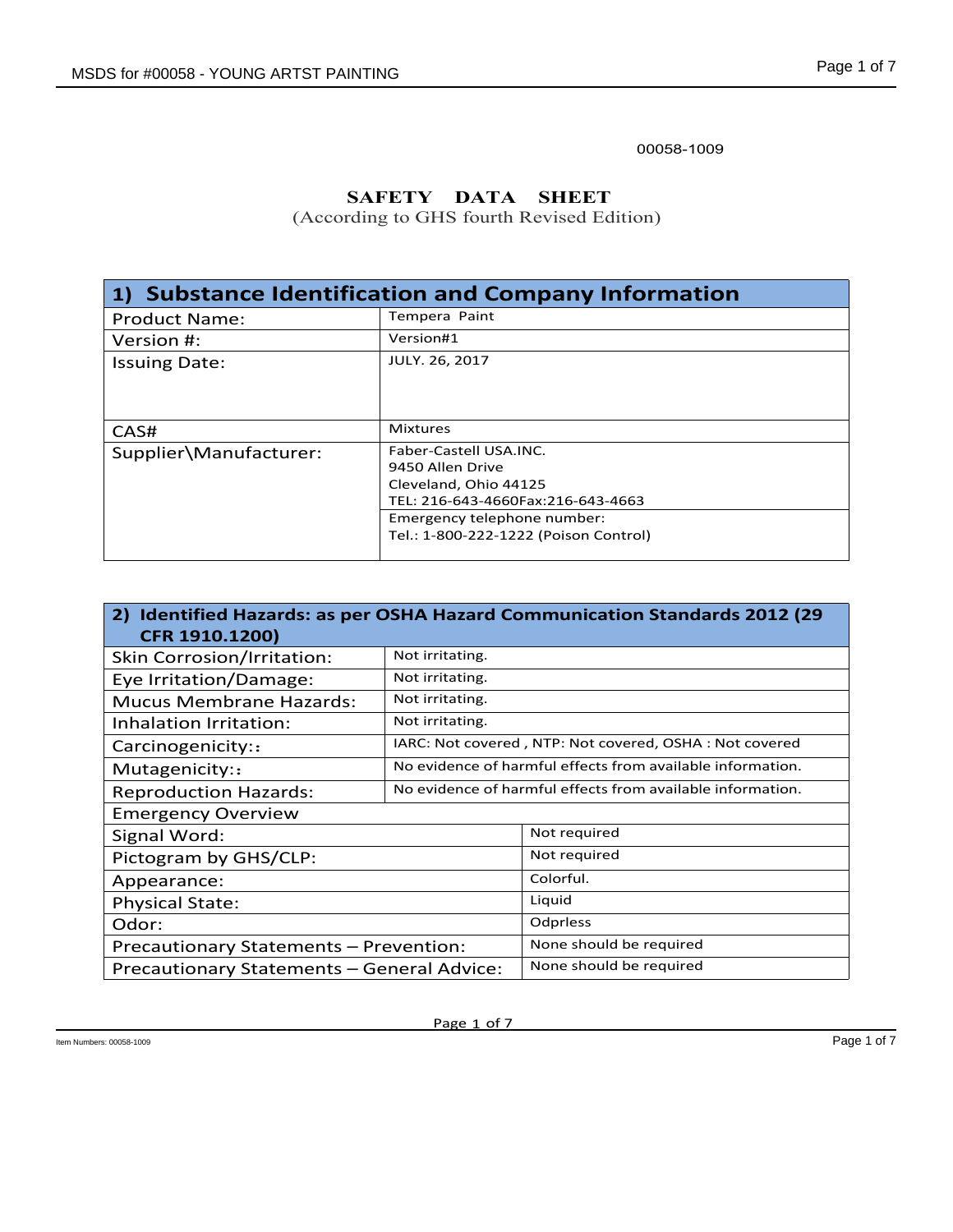## **SAFETY DATA SHEET**

|                                             |                                                                                           | Page 1 of 7 |
|---------------------------------------------|-------------------------------------------------------------------------------------------|-------------|
| <b>0S for #00058 - YOUNG ARTST PAINTING</b> |                                                                                           |             |
|                                             | 00058-1009                                                                                |             |
|                                             | <b>SAFETY</b><br><b>DATA</b><br><b>SHEET</b><br>(According to GHS fourth Revised Edition) |             |
|                                             | 1) Substance Identification and Company Information                                       |             |
| <b>Product Name:</b>                        | Tempera Paint                                                                             |             |
| Version #:                                  | Version#1                                                                                 |             |
| <b>Issuing Date:</b>                        | JULY. 26, 2017                                                                            |             |
| CAS#                                        | <b>Mixtures</b>                                                                           |             |
| Supplier\Manufacturer:                      | Faber-Castell USA.INC.                                                                    |             |
|                                             | 9450 Allen Drive                                                                          |             |
|                                             | Cleveland, Ohio 44125<br>TEL: 216-643-4660Fax:216-643-4663                                |             |
|                                             | Emergency telephone number:                                                               |             |
|                                             | Tel.: 1-800-222-1222 (Poison Control)                                                     |             |
|                                             |                                                                                           |             |
| CFR 1910.1200)                              | 2) Identified Hazards: as per OSHA Hazard Communication Standards 2012 (29                |             |
| Skin Corrosion/Irritation:                  | Not irritating.                                                                           |             |
| Eye Irritation/Damage:                      | Not irritating.                                                                           |             |
| <b>Mucus Membrane Hazards:</b>              | Not irritating.                                                                           |             |
| Inhalation Irritation:                      | Not irritating.                                                                           |             |
| Carcinogenicity::                           | IARC: Not covered, NTP: Not covered, OSHA: Not covered                                    |             |
| Mutagenicity::                              | No evidence of harmful effects from available information.                                |             |
| ano di intigra Ilanguado                    | No evidence of barmful effects from available information                                 |             |

| CAS#                                       | <b>Mixtures</b>                           |                                                                            |  |
|--------------------------------------------|-------------------------------------------|----------------------------------------------------------------------------|--|
| Supplier\Manufacturer:                     | Faber-Castell USA.INC.                    |                                                                            |  |
|                                            | 9450 Allen Drive<br>Cleveland, Ohio 44125 |                                                                            |  |
|                                            |                                           | TEL: 216-643-4660Fax:216-643-4663                                          |  |
|                                            | Emergency telephone number:               |                                                                            |  |
|                                            |                                           | Tel.: 1-800-222-1222 (Poison Control)                                      |  |
|                                            |                                           |                                                                            |  |
|                                            |                                           |                                                                            |  |
| CFR 1910.1200)                             |                                           | 2) Identified Hazards: as per OSHA Hazard Communication Standards 2012 (29 |  |
| Skin Corrosion/Irritation:                 | Not irritating.                           |                                                                            |  |
| Eye Irritation/Damage:                     | Not irritating.                           |                                                                            |  |
| <b>Mucus Membrane Hazards:</b>             | Not irritating.                           |                                                                            |  |
| Inhalation Irritation:                     | Not irritating.                           |                                                                            |  |
| Carcinogenicity::                          |                                           | IARC: Not covered, NTP: Not covered, OSHA: Not covered                     |  |
| Mutagenicity::                             |                                           | No evidence of harmful effects from available information.                 |  |
| <b>Reproduction Hazards:</b>               |                                           | No evidence of harmful effects from available information.                 |  |
| <b>Emergency Overview</b>                  |                                           |                                                                            |  |
| Signal Word:                               |                                           | Not required                                                               |  |
| Pictogram by GHS/CLP:                      |                                           | Not required                                                               |  |
| Appearance:                                |                                           | Colorful.                                                                  |  |
| <b>Physical State:</b>                     |                                           | Liquid                                                                     |  |
| Odor:                                      |                                           | Odprless                                                                   |  |
| Precautionary Statements - Prevention:     |                                           | None should be required                                                    |  |
| Precautionary Statements - General Advice: |                                           | None should be required                                                    |  |
|                                            |                                           |                                                                            |  |
|                                            |                                           |                                                                            |  |
|                                            | Page 1 of 7                               |                                                                            |  |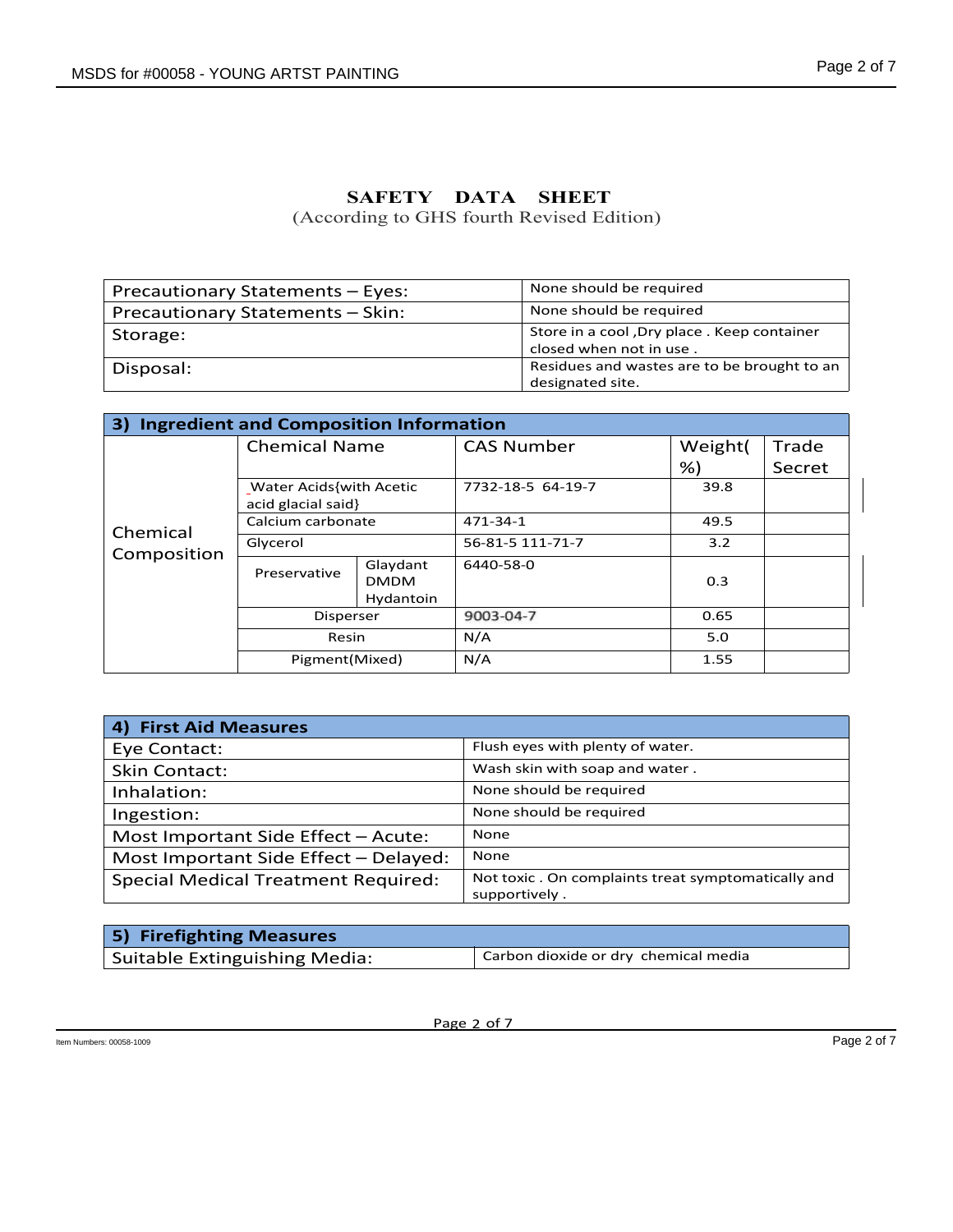|          |                                                          |                                                                         | Page 2 of 7 |
|----------|----------------------------------------------------------|-------------------------------------------------------------------------|-------------|
|          |                                                          |                                                                         |             |
|          | SAFETY DATA<br>(According to GHS fourth Revised Edition) | <b>SHEET</b>                                                            |             |
|          | Precautionary Statements - Eyes:                         | None should be required                                                 |             |
|          |                                                          |                                                                         |             |
|          |                                                          | None should be required                                                 |             |
| Storage: | Precautionary Statements - Skin:                         | Store in a cool , Dry place . Keep container<br>closed when not in use. |             |

|                                         |                                               | SAFETY DATA SHEET                                    |                   | (According to GHS fourth Revised Edition)                               |               |                 |  |
|-----------------------------------------|-----------------------------------------------|------------------------------------------------------|-------------------|-------------------------------------------------------------------------|---------------|-----------------|--|
| Precautionary Statements - Eyes:        |                                               |                                                      |                   | None should be required                                                 |               |                 |  |
| Precautionary Statements - Skin:        |                                               |                                                      |                   | None should be required                                                 |               |                 |  |
| Storage:                                |                                               |                                                      |                   | Store in a cool , Dry place . Keep container<br>closed when not in use. |               |                 |  |
| Disposal:                               |                                               |                                                      |                   | Residues and wastes are to be brought to an<br>designated site.         |               |                 |  |
|                                         |                                               |                                                      |                   |                                                                         |               |                 |  |
| 3)                                      | <b>Ingredient and Composition Information</b> |                                                      |                   |                                                                         |               |                 |  |
|                                         | <b>Chemical Name</b>                          |                                                      | <b>CAS Number</b> |                                                                         | Weight(<br>%) | Trade<br>Secret |  |
|                                         |                                               | <b>Water Acids{with Acetic</b><br>acid glacial said} |                   | 7732-18-5 64-19-7                                                       |               |                 |  |
| Chemical                                | Calcium carbonate                             |                                                      | 471-34-1          |                                                                         | 49.5          |                 |  |
| Composition                             | Glycerol                                      |                                                      |                   | 56-81-5 111-71-7                                                        | 3.2           |                 |  |
|                                         | Preservative                                  | Glaydant<br><b>DMDM</b><br>Hydantoin                 | 6440-58-0         |                                                                         | 0.3           |                 |  |
|                                         | Disperser                                     |                                                      | 9003-04-7         |                                                                         | 0.65          |                 |  |
|                                         | Resin                                         |                                                      | N/A               |                                                                         | 5.0           |                 |  |
|                                         | Pigment(Mixed)                                |                                                      | N/A               |                                                                         | 1.55          |                 |  |
|                                         |                                               |                                                      |                   |                                                                         |               |                 |  |
| 4) First Aid Measures                   |                                               |                                                      |                   |                                                                         |               |                 |  |
| Eye Contact:                            |                                               |                                                      |                   | Flush eyes with plenty of water.                                        |               |                 |  |
| <b>Skin Contact:</b>                    |                                               |                                                      |                   | Wash skin with soap and water.                                          |               |                 |  |
| Inhalation:                             |                                               |                                                      |                   | None should be required                                                 |               |                 |  |
| Ingestion:                              |                                               |                                                      |                   | None should be required                                                 |               |                 |  |
| Most Important Side Effect - Acute:     |                                               |                                                      | None              |                                                                         |               |                 |  |
| Most Important Side Effect - Delayed:   |                                               |                                                      | None              |                                                                         |               |                 |  |
| $Conceil$ $Modical Transformant Bound1$ |                                               |                                                      |                   | Not toxic. On complaints treat symptomatically and                      |               |                 |  |

|                                            | Calcium carbonate            |                                                                      | 471-34-1                             | 49.5                    |             |  |
|--------------------------------------------|------------------------------|----------------------------------------------------------------------|--------------------------------------|-------------------------|-------------|--|
| Chemical                                   | Glycerol                     |                                                                      | 56-81-5 111-71-7                     | 3.2                     |             |  |
| Composition                                | Preservative                 | Glaydant<br><b>DMDM</b><br>Hydantoin                                 | 6440-58-0                            | 0.3                     |             |  |
|                                            | Disperser                    |                                                                      | 9003-04-7                            | 0.65                    |             |  |
|                                            | Resin                        |                                                                      | N/A                                  | 5.0                     |             |  |
|                                            | Pigment(Mixed)               |                                                                      | N/A                                  | 1.55                    |             |  |
| 4) First Aid Measures                      |                              |                                                                      |                                      |                         |             |  |
| Eye Contact:                               |                              |                                                                      | Flush eyes with plenty of water.     |                         |             |  |
| <b>Skin Contact:</b>                       |                              |                                                                      | Wash skin with soap and water.       |                         |             |  |
| Inhalation:                                |                              |                                                                      |                                      | None should be required |             |  |
| Ingestion:                                 |                              | None should be required                                              |                                      |                         |             |  |
| Most Important Side Effect - Acute:        |                              |                                                                      | None                                 |                         |             |  |
| Most Important Side Effect - Delayed:      |                              |                                                                      | None                                 |                         |             |  |
| <b>Special Medical Treatment Required:</b> |                              | Not toxic . On complaints treat symptomatically and<br>supportively. |                                      |                         |             |  |
|                                            |                              |                                                                      |                                      |                         |             |  |
| 5)                                         | <b>Firefighting Measures</b> |                                                                      |                                      |                         |             |  |
| <b>Suitable Extinguishing Media:</b>       |                              |                                                                      | Carbon dioxide or dry chemical media |                         |             |  |
|                                            |                              |                                                                      |                                      |                         |             |  |
|                                            |                              |                                                                      |                                      |                         |             |  |
|                                            |                              |                                                                      | Page 2 of 7                          |                         |             |  |
| s: 00058-1009                              |                              |                                                                      |                                      |                         | Page 2 of 7 |  |

| 5) Firefighting Measures      |                                      |
|-------------------------------|--------------------------------------|
| Suitable Extinguishing Media: | Carbon dioxide or dry chemical media |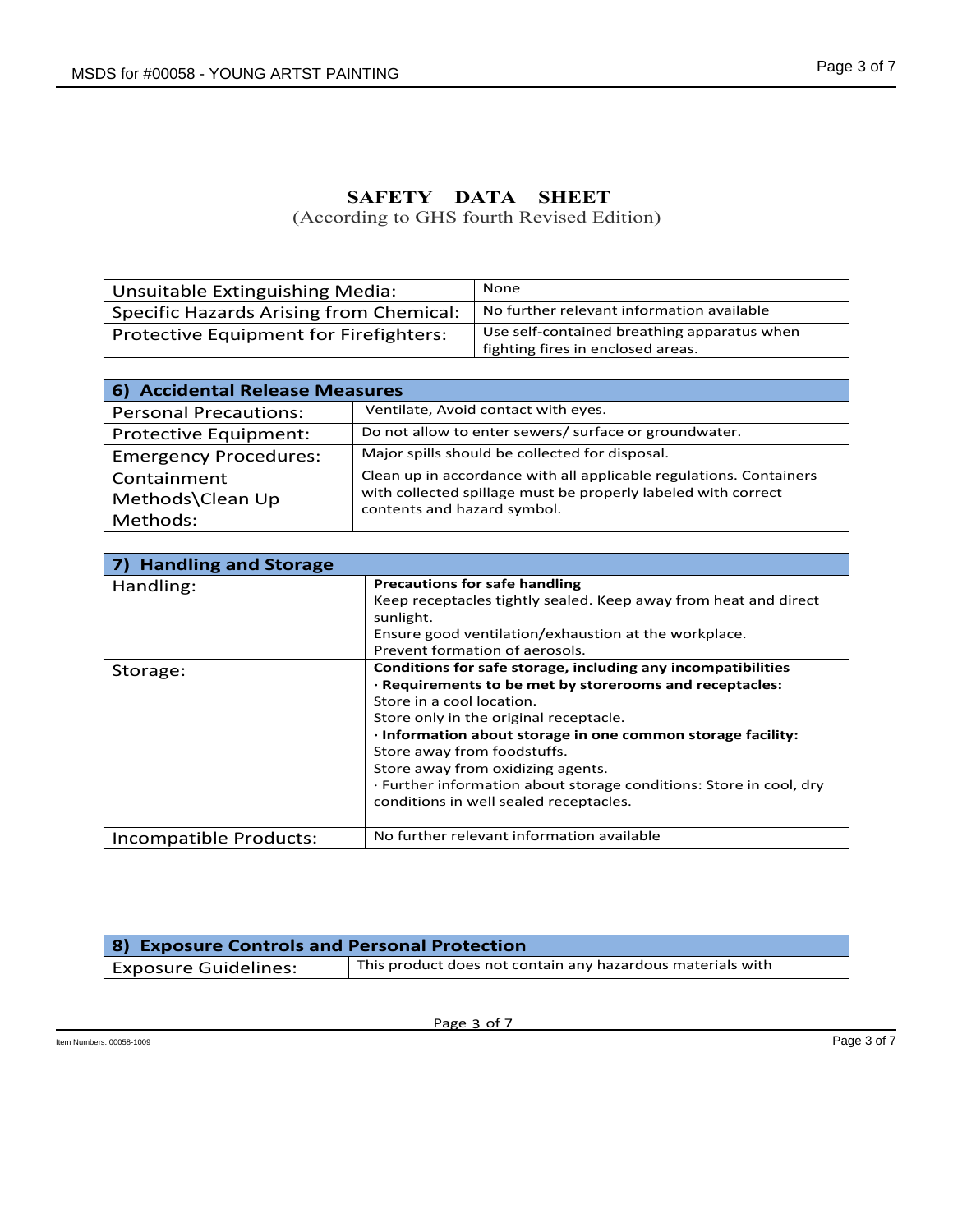|                                                |             |                                             | Page 3 of 7 |
|------------------------------------------------|-------------|---------------------------------------------|-------------|
| S for #00058 - YOUNG ARTST PAINTING            |             |                                             |             |
|                                                |             |                                             |             |
|                                                |             |                                             |             |
|                                                |             |                                             |             |
|                                                |             |                                             |             |
|                                                | SAFETY DATA | <b>SHEET</b>                                |             |
|                                                |             |                                             |             |
|                                                |             | (According to GHS fourth Revised Edition)   |             |
|                                                |             |                                             |             |
|                                                |             |                                             |             |
| Unsuitable Extinguishing Media:                |             | None                                        |             |
|                                                |             | No further relevant information available   |             |
| <b>Specific Hazards Arising from Chemical:</b> |             | Use self-contained breathing apparatus when |             |
| Protective Equipment for Firefighters:         |             | fighting fires in enclosed areas.           |             |
|                                                |             |                                             |             |
| <b>Accidental Release Measures</b><br>6)       |             |                                             |             |
| <b>Personal Precautions:</b>                   |             | Ventilate, Avoid contact with eyes.         |             |

| <b>OS for #00058 - YOUNG ARTST PAINTING</b>    |                             | Page 3 or 7                                                                                                                                                                                       |
|------------------------------------------------|-----------------------------|---------------------------------------------------------------------------------------------------------------------------------------------------------------------------------------------------|
|                                                | SAFETY DATA                 | <b>SHEET</b><br>(According to GHS fourth Revised Edition)                                                                                                                                         |
| <b>Unsuitable Extinguishing Media:</b>         |                             | None                                                                                                                                                                                              |
| <b>Specific Hazards Arising from Chemical:</b> |                             | No further relevant information available                                                                                                                                                         |
| Protective Equipment for Firefighters:         |                             | Use self-contained breathing apparatus when<br>fighting fires in enclosed areas.                                                                                                                  |
|                                                |                             |                                                                                                                                                                                                   |
| 6) Accidental Release Measures                 |                             |                                                                                                                                                                                                   |
| <b>Personal Precautions:</b>                   |                             | Ventilate, Avoid contact with eyes.                                                                                                                                                               |
| Protective Equipment:                          |                             | Do not allow to enter sewers/ surface or groundwater.                                                                                                                                             |
| <b>Emergency Procedures:</b>                   |                             | Major spills should be collected for disposal.                                                                                                                                                    |
| Containment                                    |                             | Clean up in accordance with all applicable regulations. Containers                                                                                                                                |
| Methods\Clean Up                               | contents and hazard symbol. | with collected spillage must be properly labeled with correct                                                                                                                                     |
| Methods:                                       |                             |                                                                                                                                                                                                   |
|                                                |                             |                                                                                                                                                                                                   |
| <b>Handling and Storage</b><br>7)              |                             |                                                                                                                                                                                                   |
| Handling:                                      | sunlight.                   | <b>Precautions for safe handling</b><br>Keep receptacles tightly sealed. Keep away from heat and direct<br>Ensure good ventilation/exhaustion at the workplace.<br>Prevent formation of aerosols. |
| Storage:                                       |                             | Conditions for safe storage, including any incompatibilities<br>· Requirements to be met by storerooms and receptacles:                                                                           |

| 6) Accidental Release Measures               |                                                                                                              |
|----------------------------------------------|--------------------------------------------------------------------------------------------------------------|
| <b>Personal Precautions:</b>                 | Ventilate, Avoid contact with eyes.                                                                          |
| Protective Equipment:                        | Do not allow to enter sewers/ surface or groundwater.                                                        |
| <b>Emergency Procedures:</b>                 | Major spills should be collected for disposal.                                                               |
| Containment                                  | Clean up in accordance with all applicable regulations. Containers                                           |
| Methods\Clean Up                             | with collected spillage must be properly labeled with correct                                                |
| Methods:                                     | contents and hazard symbol.                                                                                  |
|                                              |                                                                                                              |
| <b>Handling and Storage</b><br>7)            |                                                                                                              |
| Handling:                                    | <b>Precautions for safe handling</b>                                                                         |
|                                              | Keep receptacles tightly sealed. Keep away from heat and direct                                              |
|                                              | sunlight.<br>Ensure good ventilation/exhaustion at the workplace.                                            |
|                                              | Prevent formation of aerosols.                                                                               |
| Storage:                                     | Conditions for safe storage, including any incompatibilities                                                 |
|                                              | · Requirements to be met by storerooms and receptacles:                                                      |
|                                              | Store in a cool location.<br>Store only in the original receptacle.                                          |
|                                              | · Information about storage in one common storage facility:                                                  |
|                                              | Store away from foodstuffs.                                                                                  |
|                                              | Store away from oxidizing agents.                                                                            |
|                                              | · Further information about storage conditions: Store in cool, dry<br>conditions in well sealed receptacles. |
|                                              |                                                                                                              |
| Incompatible Products:                       | No further relevant information available                                                                    |
|                                              |                                                                                                              |
| 8) Exposure Controls and Personal Protection |                                                                                                              |
| <b>Exposure Guidelines:</b>                  | This product does not contain any hazardous materials with                                                   |
|                                              |                                                                                                              |
|                                              | Page 3 of 7                                                                                                  |
|                                              |                                                                                                              |

| 8) Exposure Controls and Personal Protection |                                                            |
|----------------------------------------------|------------------------------------------------------------|
| <b>Exposure Guidelines:</b>                  | This product does not contain any hazardous materials with |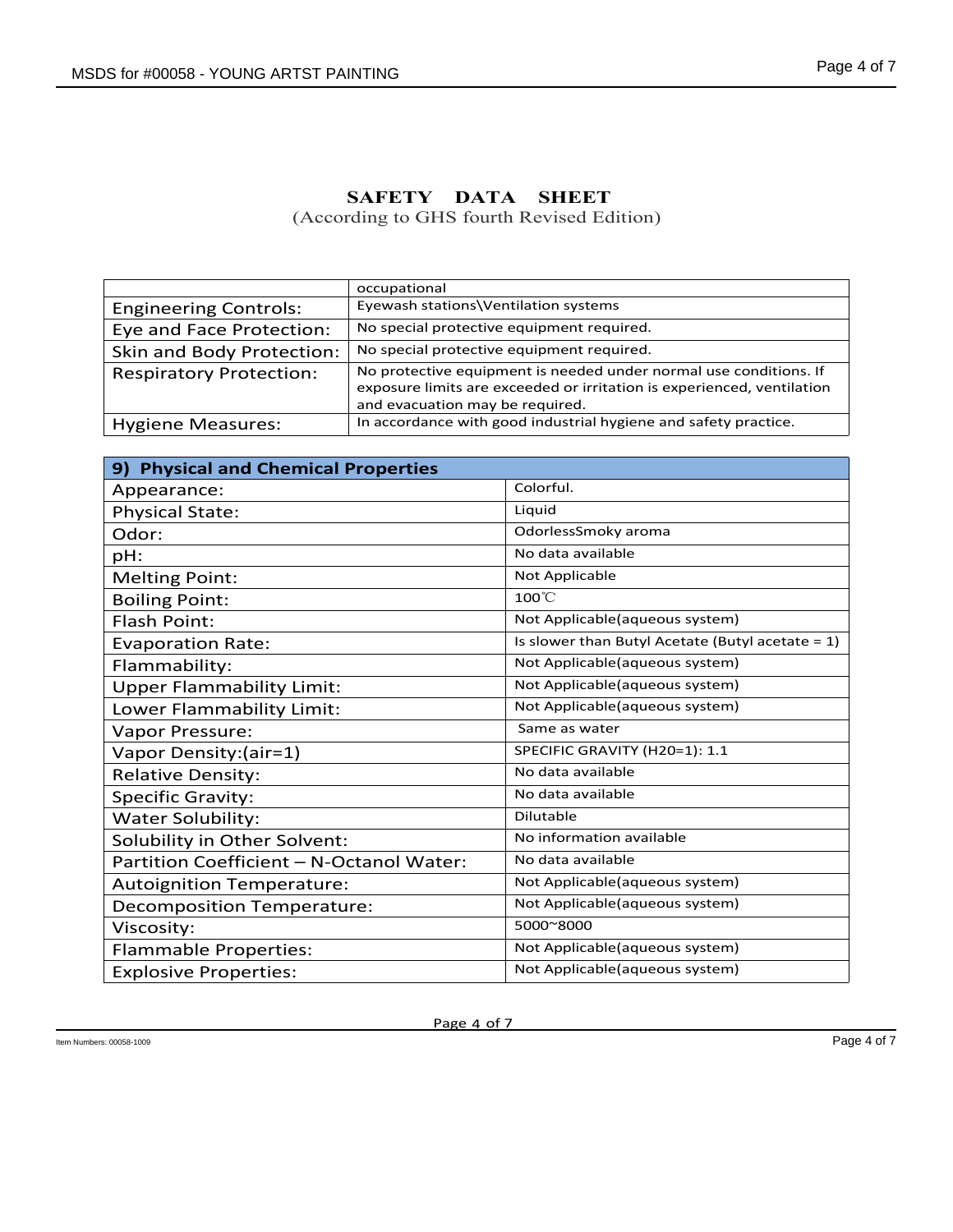| S for #00058 - YOUNG ARTST PAINTING |                                                      |                                                                                                                                             | Page 4 of 7 |
|-------------------------------------|------------------------------------------------------|---------------------------------------------------------------------------------------------------------------------------------------------|-------------|
|                                     |                                                      |                                                                                                                                             |             |
|                                     |                                                      |                                                                                                                                             |             |
|                                     |                                                      |                                                                                                                                             |             |
|                                     |                                                      |                                                                                                                                             |             |
|                                     |                                                      |                                                                                                                                             |             |
|                                     | SAFETY DATA                                          | <b>SHEET</b><br>(According to GHS fourth Revised Edition)                                                                                   |             |
|                                     |                                                      |                                                                                                                                             |             |
|                                     |                                                      |                                                                                                                                             |             |
|                                     |                                                      |                                                                                                                                             |             |
| <b>Engineering Controls:</b>        | occupational<br>Eyewash stations\Ventilation systems |                                                                                                                                             |             |
|                                     |                                                      | No special protective equipment required.                                                                                                   |             |
| Eye and Face Protection:            |                                                      | No special protective equipment required.                                                                                                   |             |
| Skin and Body Protection:           |                                                      |                                                                                                                                             |             |
| <b>Respiratory Protection:</b>      |                                                      | No protective equipment is needed under normal use conditions. If<br>exposure limits are exceeded or irritation is experienced, ventilation |             |
|                                     | and evacuation may be required.                      |                                                                                                                                             |             |
| <b>Hygiene Measures:</b>            |                                                      | In accordance with good industrial hygiene and safety practice.                                                                             |             |
|                                     |                                                      |                                                                                                                                             |             |
| 9) Physical and Chemical Properties |                                                      |                                                                                                                                             |             |
| Appearance:                         |                                                      | Colorful.                                                                                                                                   |             |
| <b>Physical State:</b>              |                                                      | Liquid                                                                                                                                      |             |
| Odor:                               |                                                      | OdorlessSmoky aroma                                                                                                                         |             |
| pH:                                 |                                                      | No data available                                                                                                                           |             |
| $M$ olting Doint:                   |                                                      | Not Annlicable                                                                                                                              |             |

|                                          |                                                                                                                                             | (According to GHS fourth Revised Edition)           |  |
|------------------------------------------|---------------------------------------------------------------------------------------------------------------------------------------------|-----------------------------------------------------|--|
|                                          |                                                                                                                                             |                                                     |  |
|                                          | occupational                                                                                                                                |                                                     |  |
| <b>Engineering Controls:</b>             | Eyewash stations\Ventilation systems                                                                                                        |                                                     |  |
| Eye and Face Protection:                 |                                                                                                                                             | No special protective equipment required.           |  |
| Skin and Body Protection:                |                                                                                                                                             | No special protective equipment required.           |  |
| <b>Respiratory Protection:</b>           | No protective equipment is needed under normal use conditions. If<br>exposure limits are exceeded or irritation is experienced, ventilation |                                                     |  |
|                                          | and evacuation may be required.                                                                                                             |                                                     |  |
| <b>Hygiene Measures:</b>                 | In accordance with good industrial hygiene and safety practice.                                                                             |                                                     |  |
|                                          |                                                                                                                                             |                                                     |  |
| 9) Physical and Chemical Properties      |                                                                                                                                             |                                                     |  |
| Appearance:                              |                                                                                                                                             | Colorful.                                           |  |
| <b>Physical State:</b>                   |                                                                                                                                             | Liquid                                              |  |
| Odor:                                    |                                                                                                                                             | OdorlessSmoky aroma                                 |  |
| pH:                                      |                                                                                                                                             | No data available                                   |  |
| <b>Melting Point:</b>                    |                                                                                                                                             | Not Applicable                                      |  |
| <b>Boiling Point:</b>                    |                                                                                                                                             | 100°C                                               |  |
| <b>Flash Point:</b>                      |                                                                                                                                             | Not Applicable(aqueous system)                      |  |
| <b>Evaporation Rate:</b>                 |                                                                                                                                             | Is slower than Butyl Acetate (Butyl acetate = $1$ ) |  |
| Flammability:                            |                                                                                                                                             | Not Applicable(aqueous system)                      |  |
| <b>Upper Flammability Limit:</b>         |                                                                                                                                             | Not Applicable(aqueous system)                      |  |
| Lower Flammability Limit:                |                                                                                                                                             | Not Applicable(aqueous system)                      |  |
| Vapor Pressure:                          |                                                                                                                                             | Same as water                                       |  |
| Vapor Density: (air=1)                   |                                                                                                                                             | SPECIFIC GRAVITY (H20=1): 1.1                       |  |
| <b>Relative Density:</b>                 |                                                                                                                                             | No data available                                   |  |
| <b>Specific Gravity:</b>                 |                                                                                                                                             | No data available                                   |  |
| Water Solubility:                        |                                                                                                                                             | Dilutable                                           |  |
| Solubility in Other Solvent:             |                                                                                                                                             | No information available                            |  |
| Partition Coefficient - N-Octanol Water: |                                                                                                                                             | No data available                                   |  |
| <b>Autoignition Temperature:</b>         |                                                                                                                                             | Not Applicable(aqueous system)                      |  |
| <b>Decomposition Temperature:</b>        |                                                                                                                                             | Not Applicable(aqueous system)                      |  |
| Viscosity:                               |                                                                                                                                             | 5000~8000                                           |  |
| <b>Flammable Properties:</b>             |                                                                                                                                             | Not Applicable(aqueous system)                      |  |
| <b>Explosive Properties:</b>             |                                                                                                                                             | Not Applicable(aqueous system)                      |  |
|                                          |                                                                                                                                             |                                                     |  |
|                                          |                                                                                                                                             |                                                     |  |
| rs: 00058-1009                           | Page 4 of 7                                                                                                                                 | Page 4 of 7                                         |  |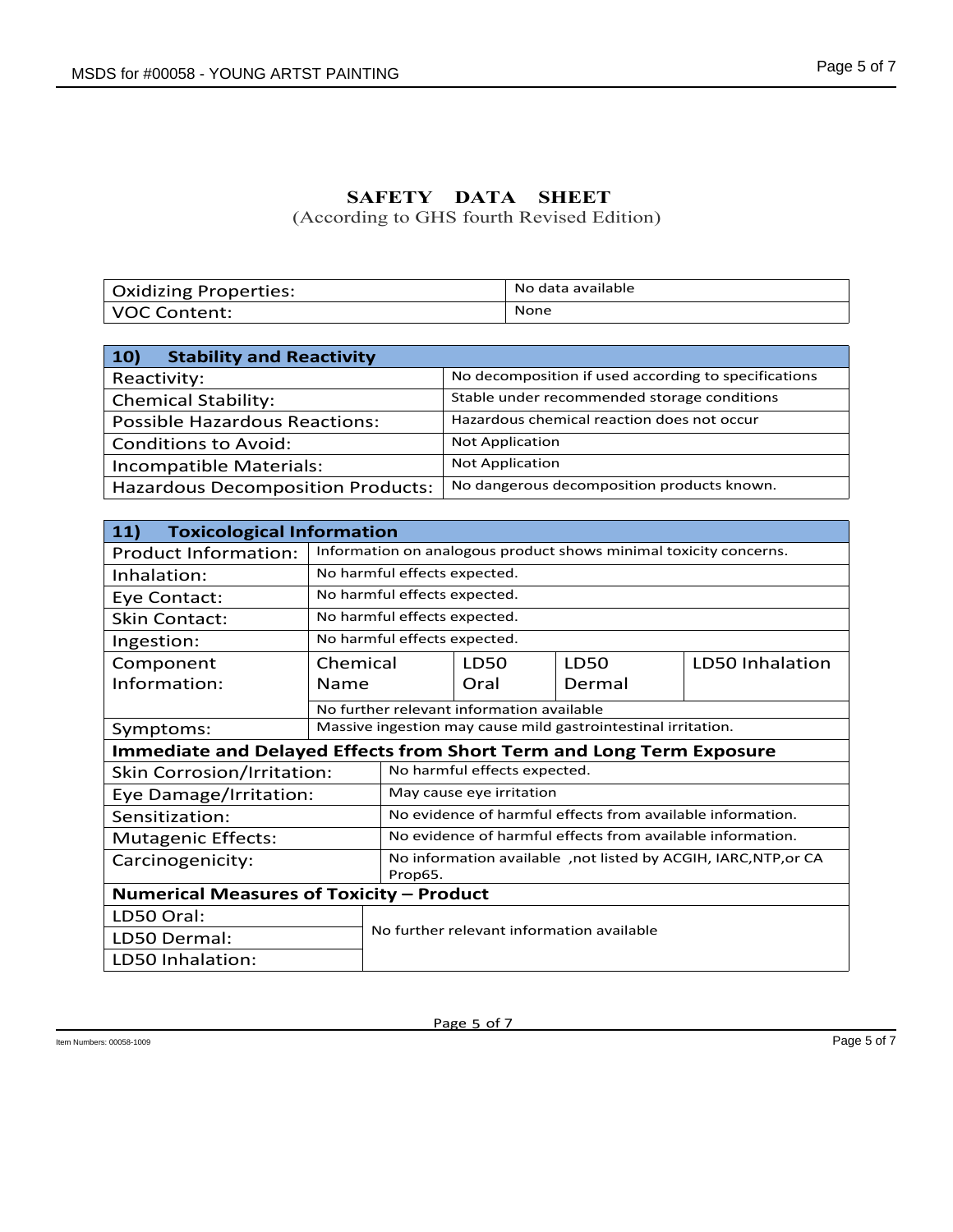# **SAFETY DATA SHEET**

| <b>Oxidizing Properties:</b> | No data available |
|------------------------------|-------------------|
| VOC Content:                 | None              |

| <b>)S for #00058 - YOUNG ARTST PAINTING</b> |                                                                   |                                                      |                                             |      | Page 5 of 7     |
|---------------------------------------------|-------------------------------------------------------------------|------------------------------------------------------|---------------------------------------------|------|-----------------|
|                                             |                                                                   |                                                      |                                             |      |                 |
|                                             |                                                                   |                                                      |                                             |      |                 |
|                                             |                                                                   |                                                      |                                             |      |                 |
|                                             | SAFETY DATA                                                       |                                                      | <b>SHEET</b>                                |      |                 |
|                                             | (According to GHS fourth Revised Edition)                         |                                                      |                                             |      |                 |
|                                             |                                                                   |                                                      |                                             |      |                 |
|                                             |                                                                   |                                                      |                                             |      |                 |
| <b>Oxidizing Properties:</b>                |                                                                   |                                                      | No data available                           |      |                 |
| <b>VOC Content:</b>                         |                                                                   | None                                                 |                                             |      |                 |
|                                             |                                                                   |                                                      |                                             |      |                 |
| 10)<br><b>Stability and Reactivity</b>      |                                                                   |                                                      |                                             |      |                 |
| Reactivity:                                 |                                                                   | No decomposition if used according to specifications |                                             |      |                 |
| <b>Chemical Stability:</b>                  |                                                                   |                                                      | Stable under recommended storage conditions |      |                 |
| <b>Possible Hazardous Reactions:</b>        |                                                                   | Hazardous chemical reaction does not occur           |                                             |      |                 |
| <b>Conditions to Avoid:</b>                 |                                                                   | <b>Not Application</b>                               |                                             |      |                 |
| Incompatible Materials:                     |                                                                   | <b>Not Application</b>                               |                                             |      |                 |
| <b>Hazardous Decomposition Products:</b>    |                                                                   | No dangerous decomposition products known.           |                                             |      |                 |
|                                             |                                                                   |                                                      |                                             |      |                 |
| 11)<br><b>Toxicological Information</b>     |                                                                   |                                                      |                                             |      |                 |
| <b>Product Information:</b>                 | Information on analogous product shows minimal toxicity concerns. |                                                      |                                             |      |                 |
| Inhalation:                                 | No harmful effects expected.                                      |                                                      |                                             |      |                 |
| Eye Contact:                                | No harmful effects expected.                                      |                                                      |                                             |      |                 |
| <b>Skin Contact:</b>                        | No harmful effects expected.                                      |                                                      |                                             |      |                 |
| Ingestion:                                  | No harmful effects expected.                                      |                                                      |                                             |      |                 |
| Comnonant                                   | Chamical                                                          | 1DS <sub>0</sub>                                     |                                             | 1DSO | LD50 Inhalation |

| No data available<br><b>Oxidizing Properties:</b><br>None<br><b>VOC Content:</b><br>10)<br><b>Stability and Reactivity</b><br>No decomposition if used according to specifications<br>Reactivity:<br>Stable under recommended storage conditions<br><b>Chemical Stability:</b><br>Hazardous chemical reaction does not occur<br><b>Possible Hazardous Reactions:</b><br>Not Application<br><b>Conditions to Avoid:</b><br><b>Not Application</b><br>Incompatible Materials:<br>No dangerous decomposition products known.<br><b>Hazardous Decomposition Products:</b><br>11)<br><b>Toxicological Information</b><br>Information on analogous product shows minimal toxicity concerns.<br><b>Product Information:</b><br>No harmful effects expected.<br>Inhalation:<br>No harmful effects expected.<br>Eye Contact:<br>No harmful effects expected.<br><b>Skin Contact:</b><br>No harmful effects expected.<br>Ingestion:<br>Chemical<br><b>LD50</b><br>LD50 Inhalation<br>Component<br>LD50<br>Information:<br>Name<br>Oral<br>Dermal<br>No further relevant information available<br>Massive ingestion may cause mild gastrointestinal irritation.<br>Symptoms:<br><b>Immediate and Delayed Effects from Short Term and Long Term Exposure</b><br>No harmful effects expected.<br>Skin Corrosion/Irritation:<br>May cause eye irritation<br>Eye Damage/Irritation: |
|----------------------------------------------------------------------------------------------------------------------------------------------------------------------------------------------------------------------------------------------------------------------------------------------------------------------------------------------------------------------------------------------------------------------------------------------------------------------------------------------------------------------------------------------------------------------------------------------------------------------------------------------------------------------------------------------------------------------------------------------------------------------------------------------------------------------------------------------------------------------------------------------------------------------------------------------------------------------------------------------------------------------------------------------------------------------------------------------------------------------------------------------------------------------------------------------------------------------------------------------------------------------------------------------------------------------------------------------------------------------|
|                                                                                                                                                                                                                                                                                                                                                                                                                                                                                                                                                                                                                                                                                                                                                                                                                                                                                                                                                                                                                                                                                                                                                                                                                                                                                                                                                                      |
|                                                                                                                                                                                                                                                                                                                                                                                                                                                                                                                                                                                                                                                                                                                                                                                                                                                                                                                                                                                                                                                                                                                                                                                                                                                                                                                                                                      |
|                                                                                                                                                                                                                                                                                                                                                                                                                                                                                                                                                                                                                                                                                                                                                                                                                                                                                                                                                                                                                                                                                                                                                                                                                                                                                                                                                                      |
|                                                                                                                                                                                                                                                                                                                                                                                                                                                                                                                                                                                                                                                                                                                                                                                                                                                                                                                                                                                                                                                                                                                                                                                                                                                                                                                                                                      |
|                                                                                                                                                                                                                                                                                                                                                                                                                                                                                                                                                                                                                                                                                                                                                                                                                                                                                                                                                                                                                                                                                                                                                                                                                                                                                                                                                                      |
|                                                                                                                                                                                                                                                                                                                                                                                                                                                                                                                                                                                                                                                                                                                                                                                                                                                                                                                                                                                                                                                                                                                                                                                                                                                                                                                                                                      |
|                                                                                                                                                                                                                                                                                                                                                                                                                                                                                                                                                                                                                                                                                                                                                                                                                                                                                                                                                                                                                                                                                                                                                                                                                                                                                                                                                                      |
|                                                                                                                                                                                                                                                                                                                                                                                                                                                                                                                                                                                                                                                                                                                                                                                                                                                                                                                                                                                                                                                                                                                                                                                                                                                                                                                                                                      |
|                                                                                                                                                                                                                                                                                                                                                                                                                                                                                                                                                                                                                                                                                                                                                                                                                                                                                                                                                                                                                                                                                                                                                                                                                                                                                                                                                                      |
|                                                                                                                                                                                                                                                                                                                                                                                                                                                                                                                                                                                                                                                                                                                                                                                                                                                                                                                                                                                                                                                                                                                                                                                                                                                                                                                                                                      |
|                                                                                                                                                                                                                                                                                                                                                                                                                                                                                                                                                                                                                                                                                                                                                                                                                                                                                                                                                                                                                                                                                                                                                                                                                                                                                                                                                                      |
|                                                                                                                                                                                                                                                                                                                                                                                                                                                                                                                                                                                                                                                                                                                                                                                                                                                                                                                                                                                                                                                                                                                                                                                                                                                                                                                                                                      |
|                                                                                                                                                                                                                                                                                                                                                                                                                                                                                                                                                                                                                                                                                                                                                                                                                                                                                                                                                                                                                                                                                                                                                                                                                                                                                                                                                                      |
|                                                                                                                                                                                                                                                                                                                                                                                                                                                                                                                                                                                                                                                                                                                                                                                                                                                                                                                                                                                                                                                                                                                                                                                                                                                                                                                                                                      |
|                                                                                                                                                                                                                                                                                                                                                                                                                                                                                                                                                                                                                                                                                                                                                                                                                                                                                                                                                                                                                                                                                                                                                                                                                                                                                                                                                                      |
|                                                                                                                                                                                                                                                                                                                                                                                                                                                                                                                                                                                                                                                                                                                                                                                                                                                                                                                                                                                                                                                                                                                                                                                                                                                                                                                                                                      |
|                                                                                                                                                                                                                                                                                                                                                                                                                                                                                                                                                                                                                                                                                                                                                                                                                                                                                                                                                                                                                                                                                                                                                                                                                                                                                                                                                                      |
|                                                                                                                                                                                                                                                                                                                                                                                                                                                                                                                                                                                                                                                                                                                                                                                                                                                                                                                                                                                                                                                                                                                                                                                                                                                                                                                                                                      |
|                                                                                                                                                                                                                                                                                                                                                                                                                                                                                                                                                                                                                                                                                                                                                                                                                                                                                                                                                                                                                                                                                                                                                                                                                                                                                                                                                                      |
|                                                                                                                                                                                                                                                                                                                                                                                                                                                                                                                                                                                                                                                                                                                                                                                                                                                                                                                                                                                                                                                                                                                                                                                                                                                                                                                                                                      |
|                                                                                                                                                                                                                                                                                                                                                                                                                                                                                                                                                                                                                                                                                                                                                                                                                                                                                                                                                                                                                                                                                                                                                                                                                                                                                                                                                                      |
|                                                                                                                                                                                                                                                                                                                                                                                                                                                                                                                                                                                                                                                                                                                                                                                                                                                                                                                                                                                                                                                                                                                                                                                                                                                                                                                                                                      |
|                                                                                                                                                                                                                                                                                                                                                                                                                                                                                                                                                                                                                                                                                                                                                                                                                                                                                                                                                                                                                                                                                                                                                                                                                                                                                                                                                                      |
|                                                                                                                                                                                                                                                                                                                                                                                                                                                                                                                                                                                                                                                                                                                                                                                                                                                                                                                                                                                                                                                                                                                                                                                                                                                                                                                                                                      |
| No evidence of harmful effects from available information.<br>Sensitization:<br>No evidence of harmful effects from available information.                                                                                                                                                                                                                                                                                                                                                                                                                                                                                                                                                                                                                                                                                                                                                                                                                                                                                                                                                                                                                                                                                                                                                                                                                           |
| <b>Mutagenic Effects:</b>                                                                                                                                                                                                                                                                                                                                                                                                                                                                                                                                                                                                                                                                                                                                                                                                                                                                                                                                                                                                                                                                                                                                                                                                                                                                                                                                            |
| No information available , not listed by ACGIH, IARC, NTP, or CA<br>Carcinogenicity:<br>Prop65.                                                                                                                                                                                                                                                                                                                                                                                                                                                                                                                                                                                                                                                                                                                                                                                                                                                                                                                                                                                                                                                                                                                                                                                                                                                                      |
| Numerical Measures of Toxicity - Product                                                                                                                                                                                                                                                                                                                                                                                                                                                                                                                                                                                                                                                                                                                                                                                                                                                                                                                                                                                                                                                                                                                                                                                                                                                                                                                             |
| LD50 Oral:                                                                                                                                                                                                                                                                                                                                                                                                                                                                                                                                                                                                                                                                                                                                                                                                                                                                                                                                                                                                                                                                                                                                                                                                                                                                                                                                                           |
| No further relevant information available<br>LD50 Dermal:                                                                                                                                                                                                                                                                                                                                                                                                                                                                                                                                                                                                                                                                                                                                                                                                                                                                                                                                                                                                                                                                                                                                                                                                                                                                                                            |
| LD50 Inhalation:                                                                                                                                                                                                                                                                                                                                                                                                                                                                                                                                                                                                                                                                                                                                                                                                                                                                                                                                                                                                                                                                                                                                                                                                                                                                                                                                                     |
|                                                                                                                                                                                                                                                                                                                                                                                                                                                                                                                                                                                                                                                                                                                                                                                                                                                                                                                                                                                                                                                                                                                                                                                                                                                                                                                                                                      |
|                                                                                                                                                                                                                                                                                                                                                                                                                                                                                                                                                                                                                                                                                                                                                                                                                                                                                                                                                                                                                                                                                                                                                                                                                                                                                                                                                                      |
| Page 5 of 7                                                                                                                                                                                                                                                                                                                                                                                                                                                                                                                                                                                                                                                                                                                                                                                                                                                                                                                                                                                                                                                                                                                                                                                                                                                                                                                                                          |
| s: 00058-1009                                                                                                                                                                                                                                                                                                                                                                                                                                                                                                                                                                                                                                                                                                                                                                                                                                                                                                                                                                                                                                                                                                                                                                                                                                                                                                                                                        |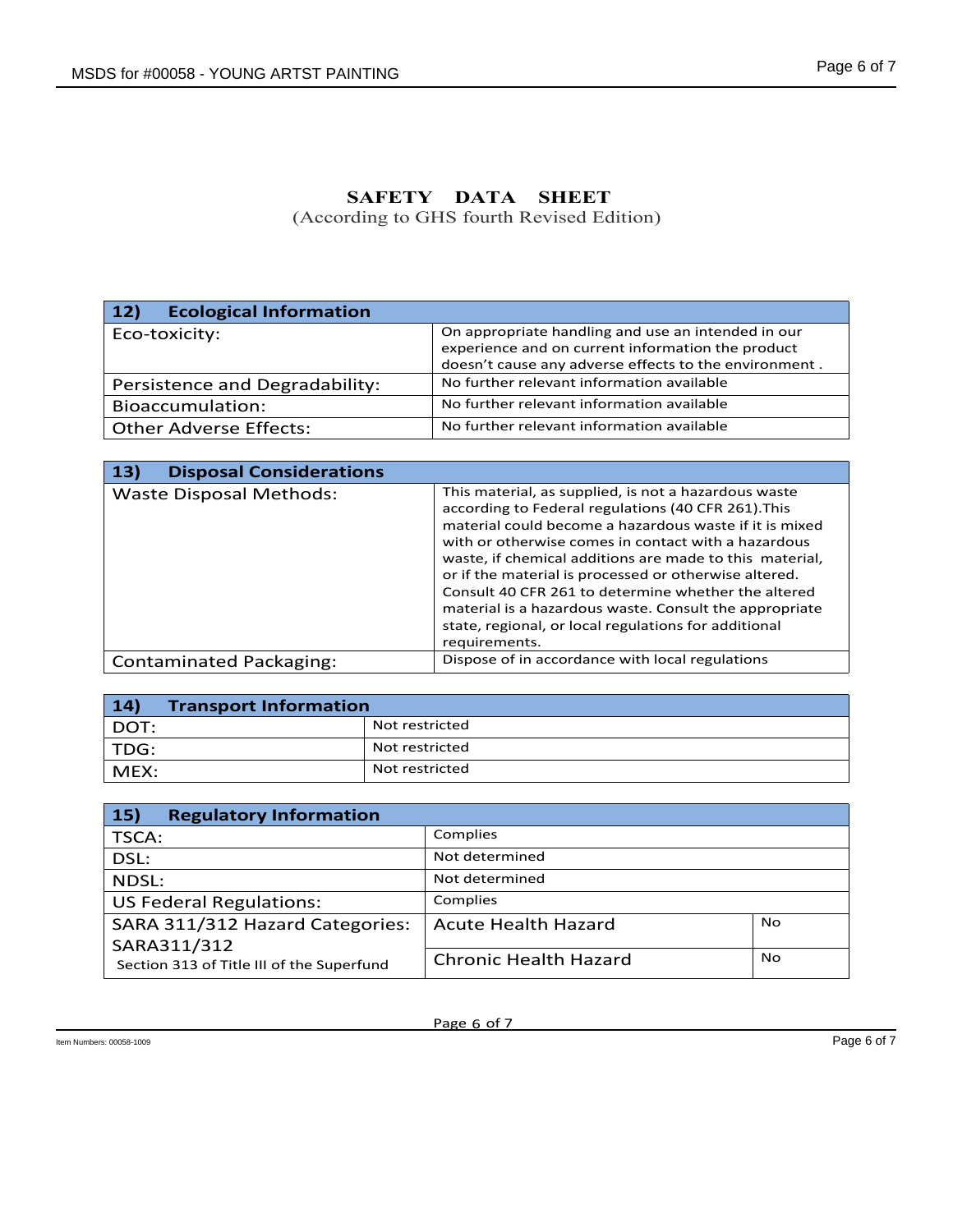| <b>S for #00058 - YOUNG ARTST PAINTING</b>            | Page 6 of 7                                                                                                                                                      |
|-------------------------------------------------------|------------------------------------------------------------------------------------------------------------------------------------------------------------------|
|                                                       | SAFETY DATA<br><b>SHEET</b><br>(According to GHS fourth Revised Edition)                                                                                         |
|                                                       |                                                                                                                                                                  |
| <b>Ecological Information</b><br>12)<br>Eco-toxicity: | On appropriate handling and use an intended in our<br>experience and on current information the product<br>doesn't cause any adverse effects to the environment. |
|                                                       |                                                                                                                                                                  |
| Persistence and Degradability:                        | No further relevant information available                                                                                                                        |
| Bioaccumulation:                                      | No further relevant information available                                                                                                                        |
| <b>Other Adverse Effects:</b>                         | No further relevant information available                                                                                                                        |
|                                                       |                                                                                                                                                                  |
| 13)<br><b>Disposal Considerations</b>                 | This material, as supplied, is not a hazardous waste                                                                                                             |

| 12)<br><b>Ecological Information</b>  |                |                                                                                                                                                                                                                                                                                                                                                                                                                                                                                                                                            |                |  |  |  |
|---------------------------------------|----------------|--------------------------------------------------------------------------------------------------------------------------------------------------------------------------------------------------------------------------------------------------------------------------------------------------------------------------------------------------------------------------------------------------------------------------------------------------------------------------------------------------------------------------------------------|----------------|--|--|--|
| Eco-toxicity:                         |                | On appropriate handling and use an intended in our<br>experience and on current information the product<br>doesn't cause any adverse effects to the environment.                                                                                                                                                                                                                                                                                                                                                                           |                |  |  |  |
| Persistence and Degradability:        |                | No further relevant information available                                                                                                                                                                                                                                                                                                                                                                                                                                                                                                  |                |  |  |  |
| Bioaccumulation:                      |                | No further relevant information available                                                                                                                                                                                                                                                                                                                                                                                                                                                                                                  |                |  |  |  |
| <b>Other Adverse Effects:</b>         |                | No further relevant information available                                                                                                                                                                                                                                                                                                                                                                                                                                                                                                  |                |  |  |  |
| 13)<br><b>Disposal Considerations</b> |                |                                                                                                                                                                                                                                                                                                                                                                                                                                                                                                                                            |                |  |  |  |
| <b>Waste Disposal Methods:</b>        |                | This material, as supplied, is not a hazardous waste<br>according to Federal regulations (40 CFR 261). This<br>material could become a hazardous waste if it is mixed<br>with or otherwise comes in contact with a hazardous<br>waste, if chemical additions are made to this material,<br>or if the material is processed or otherwise altered.<br>Consult 40 CFR 261 to determine whether the altered<br>material is a hazardous waste. Consult the appropriate<br>state, regional, or local regulations for additional<br>requirements. |                |  |  |  |
| <b>Contaminated Packaging:</b>        |                | Dispose of in accordance with local regulations                                                                                                                                                                                                                                                                                                                                                                                                                                                                                            |                |  |  |  |
|                                       |                |                                                                                                                                                                                                                                                                                                                                                                                                                                                                                                                                            |                |  |  |  |
| 14)<br><b>Transport Information</b>   |                |                                                                                                                                                                                                                                                                                                                                                                                                                                                                                                                                            |                |  |  |  |
| DOT:                                  | Not restricted |                                                                                                                                                                                                                                                                                                                                                                                                                                                                                                                                            |                |  |  |  |
| TDG:                                  |                | Not restricted                                                                                                                                                                                                                                                                                                                                                                                                                                                                                                                             |                |  |  |  |
| MEX:                                  |                | Not restricted                                                                                                                                                                                                                                                                                                                                                                                                                                                                                                                             |                |  |  |  |
|                                       |                |                                                                                                                                                                                                                                                                                                                                                                                                                                                                                                                                            |                |  |  |  |
| 15)<br><b>Regulatory Information</b>  |                |                                                                                                                                                                                                                                                                                                                                                                                                                                                                                                                                            |                |  |  |  |
| TSCA:                                 |                | Complies                                                                                                                                                                                                                                                                                                                                                                                                                                                                                                                                   |                |  |  |  |
| DSL:                                  |                | Not determined                                                                                                                                                                                                                                                                                                                                                                                                                                                                                                                             |                |  |  |  |
| NDSL:                                 |                | Not determined                                                                                                                                                                                                                                                                                                                                                                                                                                                                                                                             |                |  |  |  |
| <b>US Federal Regulations:</b>        |                | Complies                                                                                                                                                                                                                                                                                                                                                                                                                                                                                                                                   |                |  |  |  |
| $CADA$ 211/212 Hazard Catogories:     |                | Acuto Hoolth Hozard                                                                                                                                                                                                                                                                                                                                                                                                                                                                                                                        | N <sub>0</sub> |  |  |  |

| 14)  | <b>Transport Information</b> |  |  |  |  |  |
|------|------------------------------|--|--|--|--|--|
| DOT: | Not restricted               |  |  |  |  |  |
| TDG: | Not restricted               |  |  |  |  |  |
| MEX: | 'Not restricted              |  |  |  |  |  |

|                                                                                   |                                                        | or in the material is processed or otherwise altered. |             |  |  |  |
|-----------------------------------------------------------------------------------|--------------------------------------------------------|-------------------------------------------------------|-------------|--|--|--|
|                                                                                   |                                                        | Consult 40 CFR 261 to determine whether the altered   |             |  |  |  |
|                                                                                   | material is a hazardous waste. Consult the appropriate |                                                       |             |  |  |  |
|                                                                                   |                                                        | state, regional, or local regulations for additional  |             |  |  |  |
| requirements.                                                                     |                                                        |                                                       |             |  |  |  |
| Dispose of in accordance with local regulations<br><b>Contaminated Packaging:</b> |                                                        |                                                       |             |  |  |  |
|                                                                                   |                                                        |                                                       |             |  |  |  |
| 14)<br><b>Transport Information</b>                                               |                                                        |                                                       |             |  |  |  |
| DOT:                                                                              | Not restricted                                         |                                                       |             |  |  |  |
| TDG:                                                                              | Not restricted                                         |                                                       |             |  |  |  |
| MEX:                                                                              | Not restricted                                         |                                                       |             |  |  |  |
|                                                                                   |                                                        |                                                       |             |  |  |  |
|                                                                                   |                                                        |                                                       |             |  |  |  |
| <b>Regulatory Information</b><br>15)                                              |                                                        |                                                       |             |  |  |  |
| TSCA:                                                                             |                                                        | Complies                                              |             |  |  |  |
| DSL:                                                                              |                                                        | Not determined                                        |             |  |  |  |
| NDSL:                                                                             |                                                        | Not determined                                        |             |  |  |  |
| <b>US Federal Regulations:</b>                                                    |                                                        | Complies                                              |             |  |  |  |
| SARA 311/312 Hazard Categories:                                                   |                                                        | <b>No</b><br><b>Acute Health Hazard</b>               |             |  |  |  |
| SARA311/312                                                                       |                                                        |                                                       |             |  |  |  |
| Section 313 of Title III of the Superfund                                         |                                                        | No<br><b>Chronic Health Hazard</b>                    |             |  |  |  |
|                                                                                   |                                                        |                                                       |             |  |  |  |
|                                                                                   |                                                        |                                                       |             |  |  |  |
|                                                                                   |                                                        | Page 6 of 7                                           |             |  |  |  |
|                                                                                   |                                                        |                                                       | Page 6 of 7 |  |  |  |